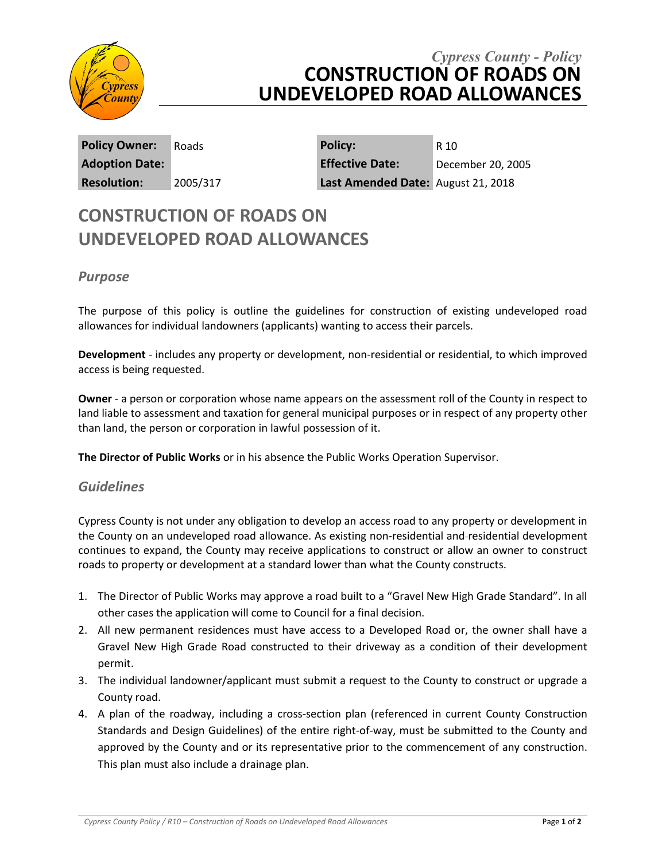

# *Cypress County - Policy* **CONSTRUCTION OF ROADS ON UNDEVELOPED ROAD ALLOWANCES**

**Policy Owner:** Roads **Policy:** R 10 **Adoption Date: Effective Date:** December 20, 2005 **Resolution:** 2005/317 **Last Amended Date:** August 21, 2018

# **CONSTRUCTION OF ROADS ON UNDEVELOPED ROAD ALLOWANCES**

## *Purpose*

The purpose of this policy is outline the guidelines for construction of existing undeveloped road allowances for individual landowners (applicants) wanting to access their parcels.

**Development** - includes any property or development, non-residential or residential, to which improved access is being requested.

**Owner** - a person or corporation whose name appears on the assessment roll of the County in respect to land liable to assessment and taxation for general municipal purposes or in respect of any property other than land, the person or corporation in lawful possession of it.

**The Director of Public Works** or in his absence the Public Works Operation Supervisor.

### *Guidelines*

Cypress County is not under any obligation to develop an access road to any property or development in the County on an undeveloped road allowance. As existing non-residential and residential development continues to expand, the County may receive applications to construct or allow an owner to construct roads to property or development at a standard lower than what the County constructs.

- 1. The Director of Public Works may approve a road built to a "Gravel New High Grade Standard". In all other cases the application will come to Council for a final decision.
- 2. All new permanent residences must have access to a Developed Road or, the owner shall have a Gravel New High Grade Road constructed to their driveway as a condition of their development permit.
- 3. The individual landowner/applicant must submit a request to the County to construct or upgrade a County road.
- 4. A plan of the roadway, including a cross-section plan (referenced in current County Construction Standards and Design Guidelines) of the entire right-of-way, must be submitted to the County and approved by the County and or its representative prior to the commencement of any construction. This plan must also include a drainage plan.